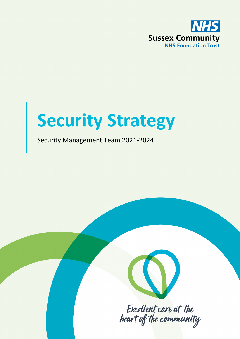

# **Security Strategy**

### Security Management Team 2021-2024



Excellent care at the heart of the community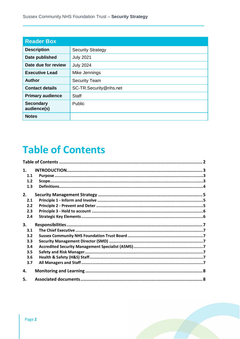| <b>Reader Box</b>               |                          |
|---------------------------------|--------------------------|
| <b>Description</b>              | <b>Security Strategy</b> |
| Date published                  | <b>July 2021</b>         |
| Date due for review             | <b>July 2024</b>         |
| <b>Executive Lead</b>           | Mike Jennings            |
| <b>Author</b>                   | <b>Security Team</b>     |
| <b>Contact details</b>          | SC-TR.Security@nhs.net   |
| <b>Primary audience</b>         | <b>Staff</b>             |
| <b>Secondary</b><br>audience(s) | Public                   |
| <b>Notes</b>                    |                          |

# **Table of Contents**

| 1.  |  |
|-----|--|
| 1.1 |  |
| 1.2 |  |
| 1.3 |  |
| 2.  |  |
| 2.1 |  |
| 2.2 |  |
| 2.3 |  |
| 2.4 |  |
| 3.  |  |
|     |  |
| 3.1 |  |
| 3.2 |  |
| 3.3 |  |
| 3.4 |  |
| 3.5 |  |
| 3.6 |  |
| 3.7 |  |
| 4.  |  |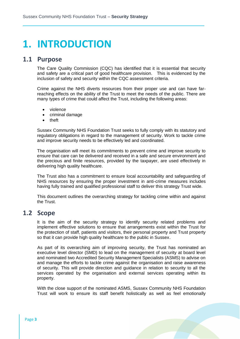# **1. INTRODUCTION**

#### **1.1 Purpose**

The Care Quality Commission (CQC) has identified that it is essential that security and safety are a critical part of good healthcare provision. This is evidenced by the inclusion of safety and security within the CQC assessment criteria.

Crime against the NHS diverts resources from their proper use and can have farreaching effects on the ability of the Trust to meet the needs of the public. There are many types of crime that could affect the Trust, including the following areas:

- violence
- criminal damage
- theft

Sussex Community NHS Foundation Trust seeks to fully comply with its statutory and regulatory obligations in regard to the management of security. Work to tackle crime and improve security needs to be effectively led and coordinated.

The organisation will meet its commitments to prevent crime and improve security to ensure that care can be delivered and received in a safe and secure environment and the precious and finite resources, provided by the taxpayer, are used effectively in delivering high quality healthcare.

The Trust also has a commitment to ensure local accountability and safeguarding of NHS resources by ensuring the proper investment in anti-crime measures includes having fully trained and qualified professional staff to deliver this strategy Trust wide.

This document outlines the overarching strategy for tackling crime within and against the Trust.

### **1.2 Scope**

It is the aim of the security strategy to identify security related problems and implement effective solutions to ensure that arrangements exist within the Trust for the protection of staff, patients and visitors, their personal property and Trust property so that it can provide high quality healthcare to the public in Sussex.

As part of its overarching aim of improving security, the Trust has nominated an executive level director (SMD) to lead on the management of security at board level and nominated two Accredited Security Management Specialists (ASMS) to advise on and manage the efforts to tackle crime against the organisation and raise awareness of security. This will provide direction and guidance in relation to security to all the services operated by the organisation and external services operating within its property.

With the close support of the nominated ASMS, Sussex Community NHS Foundation Trust will work to ensure its staff benefit holistically as well as feel emotionally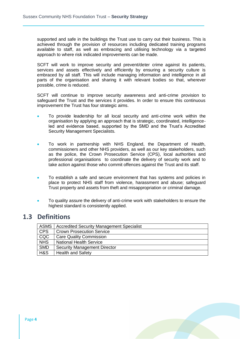supported and safe in the buildings the Trust use to carry out their business. This is achieved through the provision of resources including dedicated training programs available to staff, as well as embracing and utilising technology via a targeted approach to where risk indicated improvements can be made.

SCFT will work to improve security and prevent/deter crime against its patients, services and assets effectively and efficiently by ensuring a security culture is embraced by all staff. This will include managing information and intelligence in all parts of the organisation and sharing it with relevant bodies so that, wherever possible, crime is reduced.

SCFT will continue to improve security awareness and anti-crime provision to safeguard the Trust and the services it provides. In order to ensure this continuous improvement the Trust has four strategic aims.

- To provide leadership for all local security and anti-crime work within the organisation by applying an approach that is strategic, coordinated, intelligenceled and evidence based, supported by the SMD and the Trust's Accredited Security Management Specialists.
- To work in partnership with NHS England, the Department of Health, commissioners and other NHS providers, as well as our key stakeholders, such as the police, the Crown Prosecution Service (CPS), local authorities and professional organisations to coordinate the delivery of security work and to take action against those who commit offences against the Trust and its staff.
- To establish a safe and secure environment that has systems and policies in place to protect NHS staff from violence, harassment and abuse; safeguard Trust property and assets from theft and misappropriation or criminal damage.
- To quality assure the delivery of anti-crime work with stakeholders to ensure the highest standard is consistently applied.

#### **1.3 Definitions**

| <b>ASMS</b> | <b>Accredited Security Management Specialist</b> |
|-------------|--------------------------------------------------|
| <b>CPS</b>  | <b>Crown Prosecution Service</b>                 |
| <b>CQC</b>  | <b>Care Quality Commission</b>                   |
| <b>NHS</b>  | <b>National Health Service</b>                   |
| <b>SMD</b>  | <b>Security Management Director</b>              |
| H&S         | <b>Health and Safety</b>                         |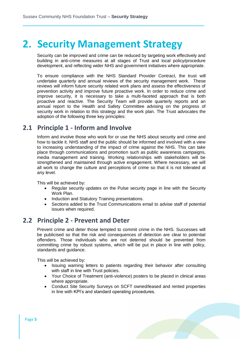# **2. Security Management Strategy**

Security can be improved and crime can be reduced by targeting work effectively and building in anti-crime measures at all stages of Trust and local policy/procedure development, and reflecting wider NHS and government initiatives where appropriate.

To ensure compliance with the NHS Standard Provider Contract, the trust will undertake quarterly and annual reviews of the security management work. These reviews will inform future security related work plans and assess the effectiveness of prevention activity and improve future proactive work. In order to reduce crime and improve security, it is necessary to take a multi-faceted approach that is both proactive and reactive. The Security Team will provide quarterly reports and an annual report to the Health and Safety Committee advising on the progress of security work in relation to this strategy and the work plan. The Trust advocates the adoption of the following three key principles:

### **2.1 Principle 1 - Inform and Involve**

Inform and involve those who work for or use the NHS about security and crime and how to tackle it. NHS staff and the public should be informed and involved with a view to increasing understanding of the impact of crime against the NHS. This can take place through communications and promotion such as public awareness campaigns, media management and training. Working relationships with stakeholders will be strengthened and maintained through active engagement. Where necessary, we will all work to change the culture and perceptions of crime so that it is not tolerated at any level.

This will be achieved by:

- Regular security updates on the Pulse security page in line with the Security Work Plan.
- Induction and Statutory Training presentations.
- Sections added to the Trust Communications email to advise staff of potential issues when required.

### **2.2 Principle 2 - Prevent and Deter**

Prevent crime and deter those tempted to commit crime in the NHS. Successes will be publicised so that the risk and consequences of detection are clear to potential offenders. Those individuals who are not deterred should be prevented from committing crime by robust systems, which will be put in place in line with policy, standards and guidance.

This will be achieved by:

- Issuing warning letters to patients regarding their behavior after consulting with staff in line with Trust policies.
- Your Choice of Treatment (anti-violence) posters to be placed in clinical areas where appropriate.
- Conduct Site Security Surveys on SCFT owned/leased and rented properties in line with KPI's and standard operating procedures.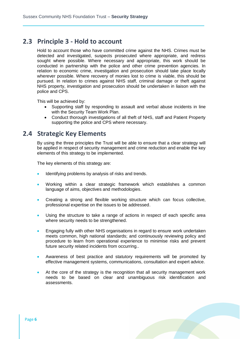#### **2.3 Principle 3 - Hold to account**

Hold to account those who have committed crime against the NHS. Crimes must be detected and investigated, suspects prosecuted where appropriate, and redress sought where possible. Where necessary and appropriate, this work should be conducted in partnership with the police and other crime prevention agencies. In relation to economic crime, investigation and prosecution should take place locally wherever possible. Where recovery of monies lost to crime is viable, this should be pursued. In relation to crimes against NHS staff, criminal damage or theft against NHS property, investigation and prosecution should be undertaken in liaison with the police and CPS.

This will be achieved by:

- Supporting staff by responding to assault and verbal abuse incidents in line with the Security Team Work Plan.
- Conduct thorough investigations of all theft of NHS, staff and Patient Property supporting the police and CPS where necessary.

#### **2.4 Strategic Key Elements**

By using the three principles the Trust will be able to ensure that a clear strategy will be applied in respect of security management and crime reduction and enable the key elements of this strategy to be implemented.

The key elements of this strategy are:

- Identifying problems by analysis of risks and trends.
- Working within a clear strategic framework which establishes a common language of aims, objectives and methodologies.
- Creating a strong and flexible working structure which can focus collective, professional expertise on the issues to be addressed.
- Using the structure to take a range of actions in respect of each specific area where security needs to be strengthened.
- Engaging fully with other NHS organisations in regard to ensure work undertaken meets common, high national standards; and continuously reviewing policy and procedure to learn from operational experience to minimise risks and prevent future security related incidents from occurring..
- Awareness of best practice and statutory requirements will be promoted by effective management systems, communications, consultation and expert advice.
- At the core of the strategy is the recognition that all security management work needs to be based on clear and unambiguous risk identification and assessments.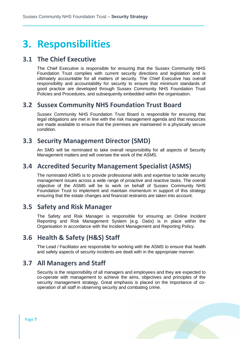# **3. Responsibilities**

### **3.1 The Chief Executive**

The Chief Executive is responsible for ensuring that the Sussex Community NHS Foundation Trust complies with current security directions and legislation and is ultimately accountable for all matters of security. The Chief Executive has overall responsibility and accountability for security to ensure that minimum standards of good practice are developed through Sussex Community NHS Foundation Trust Policies and Procedures, and subsequently embedded within the organisation.

### **3.2 Sussex Community NHS Foundation Trust Board**

Sussex Community NHS Foundation Trust Board is responsible for ensuring that legal obligations are met in line with the risk management agenda and that resources are made available to ensure that the premises are maintained in a physically secure condition.

### **3.3 Security Management Director (SMD)**

An SMD will be nominated to take overall responsibility for all aspects of Security Management matters and will oversee the work of the ASMS.

### **3.4 Accredited Security Management Specialist (ASMS)**

The nominated ASMS is to provide professional skills and expertise to tackle security management issues across a wide range of proactive and reactive tasks. The overall objective of the ASMS will be to work on behalf of Sussex Community NHS Foundation Trust to implement and maintain momentum in support of this strategy ensuring that the estate changes and financial restraints are taken into account.

### **3.5 Safety and Risk Manager**

The Safety and Risk Manager is responsible for ensuring an Online Incident Reporting and Risk Management System (e.g. Datix) is in place within the Organisation in accordance with the Incident Management and Reporting Policy.

### **3.6 Health & Safety (H&S) Staff**

The Lead / Facilitator are responsible for working with the ASMS to ensure that health and safety aspects of security incidents are dealt with in the appropriate manner.

### **3.7 All Managers and Staff**

Security is the responsibility of all managers and employees and they are expected to co-operate with management to achieve the aims, objectives and principles of the security management strategy. Great emphasis is placed on the importance of cooperation of all staff in observing security and combating crime.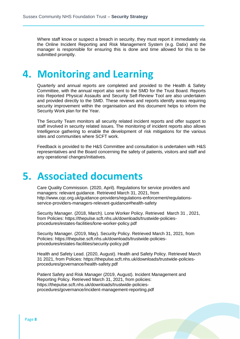Where staff know or suspect a breach in security, they must report it immediately via the Online Incident Reporting and Risk Management System (e.g. Datix) and the manager is responsible for ensuring this is done and time allowed for this to be submitted promptly.

# **4. Monitoring and Learning**

Quarterly and annual reports are completed and provided to the Health & Safety Committee, with the annual report also sent to the SMD for the Trust Board. Reports into Reported Physical Assaults and Security Self-Review Tool are also undertaken and provided directly to the SMD. These reviews and reports identify areas requiring security improvement within the organisation and this document helps to inform the Security Work plan for the Year.

The Security Team monitors all security related incident reports and offer support to staff involved in security related issues. The monitoring of incident reports also allows Intelligence gathering to enable the development of risk mitigations for the various sites and communities where SCFT work.

Feedback is provided to the H&S Committee and consultation is undertaken with H&S representatives and the Board concerning the safety of patients, visitors and staff and any operational changes/initiatives.

# **5. Associated documents**

Care Quality Commission. (2020, April). Regulations for service providers and managers: relevant guidance. Retrieved March 31, 2021, from http://www.cqc.org.uk/guidance-providers/regulations-enforcement/regulationsservice-providers-managers-relevant-guidance#health-safety

Security Manager. (2018, March). Lone Worker Policy. Retrieved March 31 , 2021, from Policies: https://thepulse.scft.nhs.uk/downloads/trustwide-policiesprocedures/estates-facilities/lone-worker-policy.pdf

Security Manager. (2019, May). Security Policy. Retrieved March 31, 2021, from Policies: https://thepulse.scft.nhs.uk/downloads/trustwide-policiesprocedures/estates-facilities/security-policy.pdf

Health and Safety Lead. (2020, August). Health and Safety Policy. Retrieved March 31 2021, from Policies: https://thepulse.scft.nhs.uk/downloads/trustwide-policiesprocedures/governance/health-safety.pdf

Patient Safety and Risk Manager (2019, August). Incident Management and Reporting Policy. Retrieved March 31, 2021, from policies: https://thepulse.scft.nhs.uk/downloads/trustwide-policiesprocedures/governance/incident-management-reporting.pdf